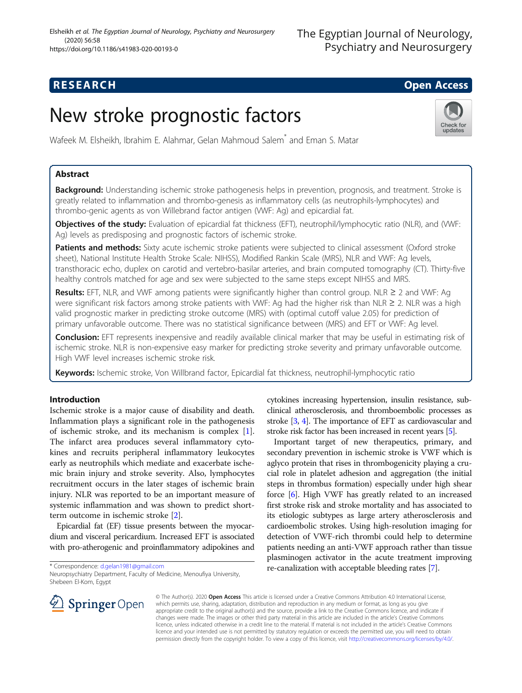# **RESEARCH CHILD CONTROL** CONTROL CONTROL CONTROL CONTROL CONTROL CONTROL CONTROL CONTROL CONTROL CONTROL CONTROL

Check for updates

# New stroke prognostic factors

Wafeek M. Elsheikh, Ibrahim E. Alahmar, Gelan Mahmoud Salem\* and Eman S. Matar

### Abstract

Background: Understanding ischemic stroke pathogenesis helps in prevention, prognosis, and treatment. Stroke is greatly related to inflammation and thrombo-genesis as inflammatory cells (as neutrophils-lymphocytes) and thrombo-genic agents as von Willebrand factor antigen (VWF: Ag) and epicardial fat.

Objectives of the study: Evaluation of epicardial fat thickness (EFT), neutrophil/lymphocytic ratio (NLR), and (VWF: Ag) levels as predisposing and prognostic factors of ischemic stroke.

Patients and methods: Sixty acute ischemic stroke patients were subjected to clinical assessment (Oxford stroke sheet), National Institute Health Stroke Scale: NIHSS), Modified Rankin Scale (MRS), NLR and VWF: Ag levels, transthoracic echo, duplex on carotid and vertebro-basilar arteries, and brain computed tomography (CT). Thirty-five healthy controls matched for age and sex were subjected to the same steps except NIHSS and MRS.

Results: EFT, NLR, and VWF among patients were significantly higher than control group. NLR  $\geq 2$  and VWF: Ag were significant risk factors among stroke patients with VWF: Ag had the higher risk than NLR ≥ 2. NLR was a high valid prognostic marker in predicting stroke outcome (MRS) with (optimal cutoff value 2.05) for prediction of primary unfavorable outcome. There was no statistical significance between (MRS) and EFT or VWF: Ag level.

**Conclusion:** EFT represents inexpensive and readily available clinical marker that may be useful in estimating risk of ischemic stroke. NLR is non-expensive easy marker for predicting stroke severity and primary unfavorable outcome. High VWF level increases ischemic stroke risk.

Keywords: Ischemic stroke, Von Willbrand factor, Epicardial fat thickness, neutrophil-lymphocytic ratio

#### Introduction

Ischemic stroke is a major cause of disability and death. Inflammation plays a significant role in the pathogenesis of ischemic stroke, and its mechanism is complex [\[1](#page-7-0)]. The infarct area produces several inflammatory cytokines and recruits peripheral inflammatory leukocytes early as neutrophils which mediate and exacerbate ischemic brain injury and stroke severity. Also, lymphocytes recruitment occurs in the later stages of ischemic brain injury. NLR was reported to be an important measure of systemic inflammation and was shown to predict shortterm outcome in ischemic stroke [\[2](#page-7-0)].

Epicardial fat (EF) tissue presents between the myocardium and visceral pericardium. Increased EFT is associated with pro-atherogenic and proinflammatory adipokines and

\* Correspondence: [d.gelan1981@gmail.com](mailto:d.gelan1981@gmail.com)

Neuropsychiatry Department, Faculty of Medicine, Menoufiya University, Shebeen El-Kom, Egypt



cytokines increasing hypertension, insulin resistance, subclinical atherosclerosis, and thromboembolic processes as stroke [[3](#page-7-0), [4](#page-7-0)]. The importance of EFT as cardiovascular and stroke risk factor has been increased in recent years [[5](#page-7-0)].

Important target of new therapeutics, primary, and secondary prevention in ischemic stroke is VWF which is aglyco protein that rises in thrombogenicity playing a crucial role in platelet adhesion and aggregation (the initial steps in thrombus formation) especially under high shear force [\[6\]](#page-7-0). High VWF has greatly related to an increased first stroke risk and stroke mortality and has associated to its etiologic subtypes as large artery atherosclerosis and cardioembolic strokes. Using high-resolution imaging for detection of VWF-rich thrombi could help to determine patients needing an anti-VWF approach rather than tissue plasminogen activator in the acute treatment improving re-canalization with acceptable bleeding rates [[7\]](#page-7-0).

© The Author(s). 2020 Open Access This article is licensed under a Creative Commons Attribution 4.0 International License, which permits use, sharing, adaptation, distribution and reproduction in any medium or format, as long as you give appropriate credit to the original author(s) and the source, provide a link to the Creative Commons licence, and indicate if changes were made. The images or other third party material in this article are included in the article's Creative Commons licence, unless indicated otherwise in a credit line to the material. If material is not included in the article's Creative Commons licence and your intended use is not permitted by statutory regulation or exceeds the permitted use, you will need to obtain permission directly from the copyright holder. To view a copy of this licence, visit <http://creativecommons.org/licenses/by/4.0/>.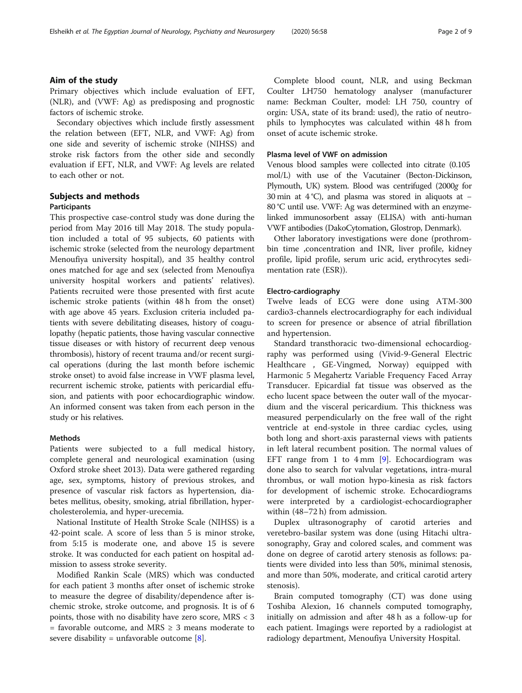#### Aim of the study

Primary objectives which include evaluation of EFT, (NLR), and (VWF: Ag) as predisposing and prognostic factors of ischemic stroke.

Secondary objectives which include firstly assessment the relation between (EFT, NLR, and VWF: Ag) from one side and severity of ischemic stroke (NIHSS) and stroke risk factors from the other side and secondly evaluation if EFT, NLR, and VWF: Ag levels are related to each other or not.

#### Subjects and methods

#### Participants

This prospective case-control study was done during the period from May 2016 till May 2018. The study population included a total of 95 subjects, 60 patients with ischemic stroke (selected from the neurology department Menoufiya university hospital), and 35 healthy control ones matched for age and sex (selected from Menoufiya university hospital workers and patients' relatives). Patients recruited were those presented with first acute ischemic stroke patients (within 48 h from the onset) with age above 45 years. Exclusion criteria included patients with severe debilitating diseases, history of coagulopathy (hepatic patients, those having vascular connective tissue diseases or with history of recurrent deep venous thrombosis), history of recent trauma and/or recent surgical operations (during the last month before ischemic stroke onset) to avoid false increase in VWF plasma level, recurrent ischemic stroke, patients with pericardial effusion, and patients with poor echocardiographic window. An informed consent was taken from each person in the study or his relatives.

#### Methods

Patients were subjected to a full medical history, complete general and neurological examination (using Oxford stroke sheet 2013). Data were gathered regarding age, sex, symptoms, history of previous strokes, and presence of vascular risk factors as hypertension, diabetes mellitus, obesity, smoking, atrial fibrillation, hypercholesterolemia, and hyper-urecemia.

National Institute of Health Stroke Scale (NIHSS) is a 42-point scale. A score of less than 5 is minor stroke, from 5:15 is moderate one, and above 15 is severe stroke. It was conducted for each patient on hospital admission to assess stroke severity.

Modified Rankin Scale (MRS) which was conducted for each patient 3 months after onset of ischemic stroke to measure the degree of disability/dependence after ischemic stroke, stroke outcome, and prognosis. It is of 6 points, those with no disability have zero score, MRS < 3  $=$  favorable outcome, and MRS  $\geq$  3 means moderate to severe disability = unfavorable outcome  $[8]$  $[8]$ .

Complete blood count, NLR, and using Beckman Coulter LH750 hematology analyser (manufacturer name: Beckman Coulter, model: LH 750, country of orgin: USA, state of its brand: used), the ratio of neutrophils to lymphocytes was calculated within 48 h from onset of acute ischemic stroke.

#### Plasma level of VWF on admission

Venous blood samples were collected into citrate (0.105 mol/L) with use of the Vacutainer (Becton-Dickinson, Plymouth, UK) system. Blood was centrifuged (2000g for 30 min at 4 °C), and plasma was stored in aliquots at − 80 °C until use. VWF: Ag was determined with an enzymelinked immunosorbent assay (ELISA) with anti-human VWF antibodies (DakoCytomation, Glostrop, Denmark).

Other laboratory investigations were done (prothrombin time ,concentration and INR, liver profile, kidney profile, lipid profile, serum uric acid, erythrocytes sedimentation rate (ESR)).

#### Electro-cardiography

Twelve leads of ECG were done using ATM-300 cardio3-channels electrocardiography for each individual to screen for presence or absence of atrial fibrillation and hypertension.

Standard transthoracic two-dimensional echocardiography was performed using (Vivid-9-General Electric Healthcare , GE-Vingmed, Norway) equipped with Harmonic 5 Megahertz Variable Frequency Faced Array Transducer. Epicardial fat tissue was observed as the echo lucent space between the outer wall of the myocardium and the visceral pericardium. This thickness was measured perpendicularly on the free wall of the right ventricle at end-systole in three cardiac cycles, using both long and short-axis parasternal views with patients in left lateral recumbent position. The normal values of EFT range from 1 to  $4 \text{ mm}$  [[9\]](#page-7-0). Echocardiogram was done also to search for valvular vegetations, intra-mural thrombus, or wall motion hypo-kinesia as risk factors for development of ischemic stroke. Echocardiograms were interpreted by a cardiologist-echocardiographer within (48–72 h) from admission.

Duplex ultrasonography of carotid arteries and veretebro-basilar system was done (using Hitachi ultrasonography, Gray and colored scales, and comment was done on degree of carotid artery stenosis as follows: patients were divided into less than 50%, minimal stenosis, and more than 50%, moderate, and critical carotid artery stenosis).

Brain computed tomography (CT) was done using Toshiba Alexion, 16 channels computed tomography, initially on admission and after 48 h as a follow-up for each patient. Imagings were reported by a radiologist at radiology department, Menoufiya University Hospital.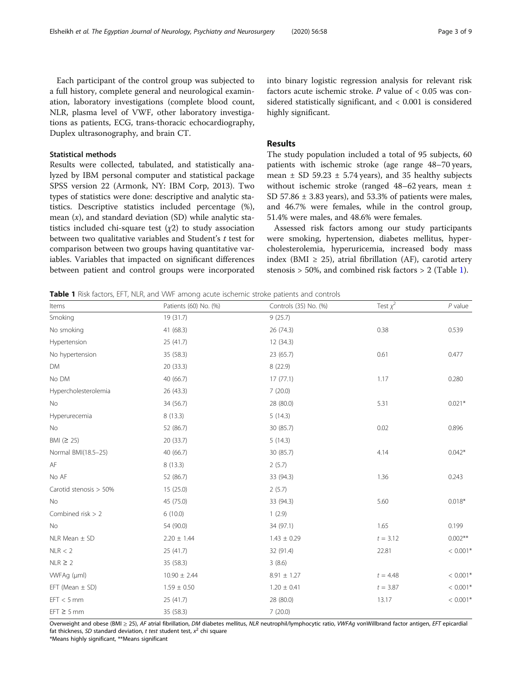<span id="page-2-0"></span>Each participant of the control group was subjected to a full history, complete general and neurological examination, laboratory investigations (complete blood count, NLR, plasma level of VWF, other laboratory investigations as patients, ECG, trans-thoracic echocardiography, Duplex ultrasonography, and brain CT.

#### Statistical methods

Results were collected, tabulated, and statistically analyzed by IBM personal computer and statistical package SPSS version 22 (Armonk, NY: IBM Corp, 2013). Two types of statistics were done: descriptive and analytic statistics. Descriptive statistics included percentage (%), mean  $(x)$ , and standard deviation  $(SD)$  while analytic statistics included chi-square test  $(\chi^2)$  to study association between two qualitative variables and Student'<sup>s</sup> t test for comparison between two groups having quantitative variables. Variables that impacted on significant differences between patient and control groups were incorporated into binary logistic regression analysis for relevant risk factors acute ischemic stroke. P value of < 0.05 was considered statistically significant, and < 0.001 is considered highly significant.

#### Results

The study population included a total of 95 subjects, 60 patients with ischemic stroke (age range 48–70 years, mean  $\pm$  SD 59.23  $\pm$  5.74 years), and 35 healthy subjects without ischemic stroke (ranged 48–62 years, mean ± SD 57.86  $\pm$  3.83 years), and 53.3% of patients were males, and 46.7% were females, while in the control group, 51.4% were males, and 48.6% were females.

Assessed risk factors among our study participants were smoking, hypertension, diabetes mellitus, hypercholesterolemia, hyperuricemia, increased body mass index (BMI  $\geq$  25), atrial fibrillation (AF), carotid artery stenosis > 50%, and combined risk factors > 2 (Table 1).

Table 1 Risk factors, EFT, NLR, and VWF among acute ischemic stroke patients and controls

| Items                  | Patients (60) No. (%) | Controls (35) No. (%) | Test $\chi^2$ | $P$ value  |
|------------------------|-----------------------|-----------------------|---------------|------------|
| Smoking                | 19 (31.7)             | 9(25.7)               |               |            |
| No smoking             | 41 (68.3)             | 26 (74.3)             | 0.38          | 0.539      |
| Hypertension           | 25 (41.7)             | 12 (34.3)             |               |            |
| No hypertension        | 35 (58.3)             | 23 (65.7)             | 0.61          | 0.477      |
| <b>DM</b>              | 20 (33.3)             | 8(22.9)               |               |            |
| No DM                  | 40 (66.7)             | 17(77.1)              | 1.17          | 0.280      |
| Hypercholesterolemia   | 26 (43.3)             | 7(20.0)               |               |            |
| No                     | 34 (56.7)             | 28 (80.0)             | 5.31          | $0.021*$   |
| Hyperurecemia          | 8(13.3)               | 5(14.3)               |               |            |
| No                     | 52 (86.7)             | 30 (85.7)             | 0.02          | 0.896      |
| BMI $(≥ 25)$           | 20 (33.7)             | 5(14.3)               |               |            |
| Normal BMI(18.5-25)    | 40 (66.7)             | 30 (85.7)             | 4.14          | $0.042*$   |
| AF                     | 8(13.3)               | 2(5.7)                |               |            |
| No AF                  | 52 (86.7)             | 33 (94.3)             | 1.36          | 0.243      |
| Carotid stenosis > 50% | 15 (25.0)             | 2(5.7)                |               |            |
| No                     | 45 (75.0)             | 33 (94.3)             | 5.60          | $0.018*$   |
| Combined risk $> 2$    | 6(10.0)               | 1(2.9)                |               |            |
| No                     | 54 (90.0)             | 34 (97.1)             | 1.65          | 0.199      |
| $NLR Mean \pm SD$      | $2.20 \pm 1.44$       | $1.43 \pm 0.29$       | $t = 3.12$    | $0.002**$  |
| NLR < 2                | 25(41.7)              | 32 (91.4)             | 22.81         | $< 0.001*$ |
| $NLR \geq 2$           | 35 (58.3)             | 3(8.6)                |               |            |
| WVFAq (uml)            | $10.90 \pm 2.44$      | $8.91 \pm 1.27$       | $t = 4.48$    | $< 0.001*$ |
| EFT (Mean $\pm$ SD)    | $1.59 \pm 0.50$       | $1.20 \pm 0.41$       | $t = 3.87$    | $< 0.001*$ |
| $EFT < 5$ mm           | 25 (41.7)             | 28 (80.0)             | 13.17         | $< 0.001*$ |
| $EFT \geq 5$ mm        | 35 (58.3)             | 7(20.0)               |               |            |

Overweight and obese (BMI ≥ 25), AF atrial fibrillation, DM diabetes mellitus, NLR neutrophil/lymphocytic ratio, VWFAq vonWillbrand factor antigen, EFT epicardial fat thickness, SD standard deviation, t test student test,  $x^2$  chi square

\*Means highly significant, \*\*Means significant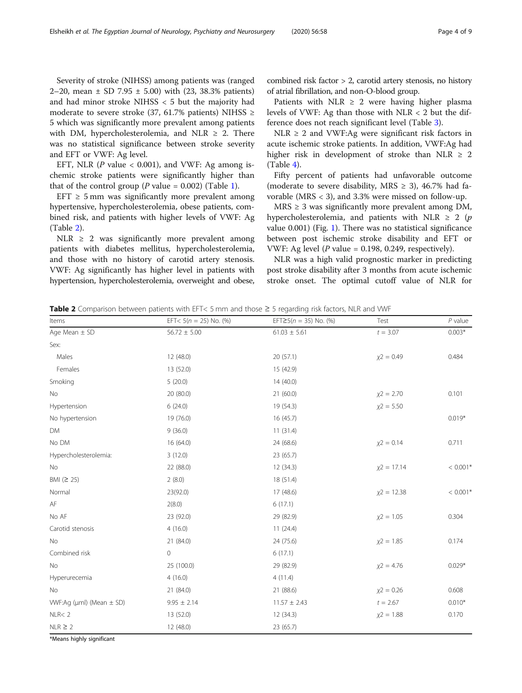Severity of stroke (NIHSS) among patients was (ranged 2–20, mean  $\pm$  SD 7.95  $\pm$  5.00) with (23, 38.3% patients) and had minor stroke NIHSS < 5 but the majority had moderate to severe stroke (37, 61.7% patients) NIHSS  $\ge$ 5 which was significantly more prevalent among patients with DM, hypercholesterolemia, and NLR  $\geq$  2. There was no statistical significance between stroke severity and EFT or VWF: Ag level.

EFT, NLR ( $P$  value < 0.001), and VWF: Ag among ischemic stroke patients were significantly higher than that of the control group ( $P$  value = 0.002) (Table [1](#page-2-0)).

EFT  $\geq$  5 mm was significantly more prevalent among hypertensive, hypercholesterolemia, obese patients, combined risk, and patients with higher levels of VWF: Ag (Table 2).

NLR  $\geq$  2 was significantly more prevalent among patients with diabetes mellitus, hypercholesterolemia, and those with no history of carotid artery stenosis. VWF: Ag significantly has higher level in patients with hypertension, hypercholesterolemia, overweight and obese,

combined risk factor > 2, carotid artery stenosis, no history of atrial fibrillation, and non-O-blood group.

Patients with NLR  $\geq$  2 were having higher plasma levels of VWF: Ag than those with NLR < 2 but the difference does not reach significant level (Table [3\)](#page-4-0).

NLR  $\geq$  2 and VWF:Ag were significant risk factors in acute ischemic stroke patients. In addition, VWF:Ag had higher risk in development of stroke than NLR  $\geq$  2 (Table [4\)](#page-4-0).

Fifty percent of patients had unfavorable outcome (moderate to severe disability, MRS  $\geq$  3), 46.7% had favorable (MRS < 3), and 3.3% were missed on follow-up.

 $MRS \geq 3$  was significantly more prevalent among DM, hypercholesterolemia, and patients with NLR  $\geq$  2 (p value 0.001) (Fig. [1\)](#page-5-0). There was no statistical significance between post ischemic stroke disability and EFT or VWF: Ag level ( $P$  value = 0.198, 0.249, respectively).

NLR was a high valid prognostic marker in predicting post stroke disability after 3 months from acute ischemic stroke onset. The optimal cutoff value of NLR for

Table 2 Comparison between patients with EFT< 5 mm and those  $\geq$  5 regarding risk factors, NLR and VWF

| Items                              | EFT< $5(n = 25)$ No. (%) | EFT $\geq$ 5( <i>n</i> = 35) No. (%) | Test          | $P$ value  |
|------------------------------------|--------------------------|--------------------------------------|---------------|------------|
| Age Mean $\pm$ SD                  | $56.72 \pm 5.00$         | $61.03 \pm 5.61$                     | $t = 3.07$    | $0.003*$   |
| Sex:                               |                          |                                      |               |            |
| Males                              | 12 (48.0)                | 20(57.1)                             | $x^2 = 0.49$  | 0.484      |
| Females                            | 13 (52.0)                | 15 (42.9)                            |               |            |
| Smoking                            | 5(20.0)                  | 14(40.0)                             |               |            |
| No                                 | 20 (80.0)                | 21(60.0)                             | $x^2 = 2.70$  | 0.101      |
| Hypertension                       | 6(24.0)                  | 19 (54.3)                            | $x^2 = 5.50$  |            |
| No hypertension                    | 19 (76.0)                | 16(45.7)                             |               | $0.019*$   |
| <b>DM</b>                          | 9(36.0)                  | 11(31.4)                             |               |            |
| No DM                              | 16 (64.0)                | 24 (68.6)                            | $x^2 = 0.14$  | 0.711      |
| Hypercholesterolemia:              | 3(12.0)                  | 23 (65.7)                            |               |            |
| No                                 | 22 (88.0)                | 12(34.3)                             | $x^2 = 17.14$ | $< 0.001*$ |
| BMI $(≥ 25)$                       | 2(8.0)                   | 18 (51.4)                            |               |            |
| Normal                             | 23(92.0)                 | 17 (48.6)                            | $x^2 = 12.38$ | $< 0.001*$ |
| AF                                 | 2(8.0)                   | 6(17.1)                              |               |            |
| No AF                              | 23 (92.0)                | 29 (82.9)                            | $x^2 = 1.05$  | 0.304      |
| Carotid stenosis                   | 4(16.0)                  | 11(24.4)                             |               |            |
| No                                 | 21 (84.0)                | 24 (75.6)                            | $x^2 = 1.85$  | 0.174      |
| Combined risk                      | 0                        | 6(17.1)                              |               |            |
| <b>No</b>                          | 25 (100.0)               | 29 (82.9)                            | $x^2 = 4.76$  | $0.029*$   |
| Hyperurecemia                      | 4(16.0)                  | 4(11.4)                              |               |            |
| <b>No</b>                          | 21 (84.0)                | 21 (88.6)                            | $x^2 = 0.26$  | 0.608      |
| WVF:Ag ( $\mu$ ml) (Mean $\pm$ SD) | $9.95 \pm 2.14$          | $11.57 \pm 2.43$                     | $t = 2.67$    | $0.010*$   |
| NLR < 2                            | 13 (52.0)                | 12(34.3)                             | $x^2 = 1.88$  | 0.170      |
| $NLR \geq 2$                       | 12 (48.0)                | 23 (65.7)                            |               |            |

\*Means highly significant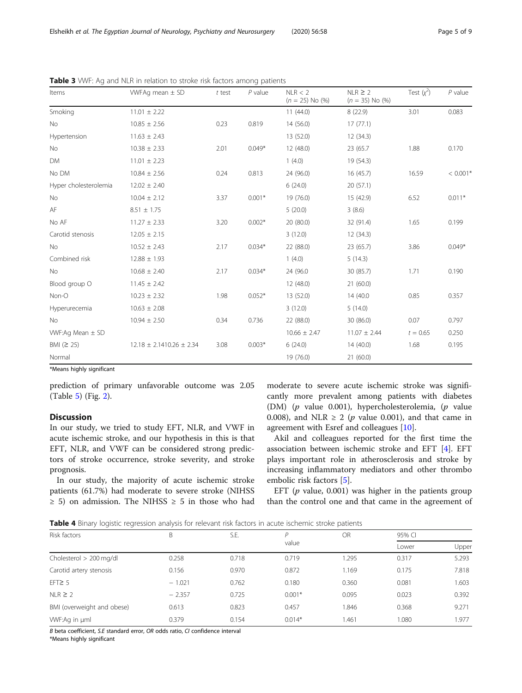|  | Page 5 of 9 |  |  |  |
|--|-------------|--|--|--|
|--|-------------|--|--|--|

| Items                 | WFAq mean $\pm$ SD             | $t$ test | $P$ value | NLR < 2<br>$(n = 25)$ No $(\%)$ | $NLR \geq 2$<br>$(n = 35)$ No $(\%)$ | Test $(x^2)$ | $P$ value  |
|-----------------------|--------------------------------|----------|-----------|---------------------------------|--------------------------------------|--------------|------------|
| Smoking               | $11.01 \pm 2.22$               |          |           | 11(44.0)                        | 8(22.9)                              | 3.01         | 0.083      |
| No                    | $10.85 \pm 2.56$               | 0.23     | 0.819     | 14(56.0)                        | 17(77.1)                             |              |            |
| Hypertension          | $11.63 \pm 2.43$               |          |           | 13 (52.0)                       | 12(34.3)                             |              |            |
| No                    | $10.38 \pm 2.33$               | 2.01     | $0.049*$  | 12 (48.0)                       | 23 (65.7)                            | 1.88         | 0.170      |
| <b>DM</b>             | $11.01 \pm 2.23$               |          |           | 1(4.0)                          | 19 (54.3)                            |              |            |
| No DM                 | $10.84 \pm 2.56$               | 0.24     | 0.813     | 24 (96.0)                       | 16(45.7)                             | 16.59        | $< 0.001*$ |
| Hyper cholesterolemia | $12.02 \pm 2.40$               |          |           | 6(24.0)                         | 20(57.1)                             |              |            |
| No                    | $10.04 \pm 2.12$               | 3.37     | $0.001*$  | 19 (76.0)                       | 15 (42.9)                            | 6.52         | $0.011*$   |
| AF                    | $8.51 \pm 1.75$                |          |           | 5(20.0)                         | 3(8.6)                               |              |            |
| No AF                 | $11.27 \pm 2.33$               | 3.20     | $0.002*$  | 20 (80.0)                       | 32 (91.4)                            | 1.65         | 0.199      |
| Carotid stenosis      | $12.05 \pm 2.15$               |          |           | 3(12.0)                         | 12(34.3)                             |              |            |
| No                    | $10.52 \pm 2.43$               | 2.17     | $0.034*$  | 22 (88.0)                       | 23 (65.7)                            | 3.86         | $0.049*$   |
| Combined risk         | $12.88 \pm 1.93$               |          |           | 1(4.0)                          | 5(14.3)                              |              |            |
| No                    | $10.68 \pm 2.40$               | 2.17     | $0.034*$  | 24 (96.0)                       | 30 (85.7)                            | 1.71         | 0.190      |
| Blood group O         | $11.45 \pm 2.42$               |          |           | 12 (48.0)                       | 21(60.0)                             |              |            |
| Non-O                 | $10.23 \pm 2.32$               | 1.98     | $0.052*$  | 13 (52.0)                       | 14 (40.0)                            | 0.85         | 0.357      |
| Hyperurecemia         | $10.63 \pm 2.08$               |          |           | 3(12.0)                         | 5(14.0)                              |              |            |
| No                    | $10.94 \pm 2.50$               | 0.34     | 0.736     | 22 (88.0)                       | 30 (86.0)                            | 0.07         | 0.797      |
| WVF:Ag Mean $\pm$ SD  |                                |          |           | $10.66 \pm 2.47$                | $11.07 \pm 2.44$                     | $t = 0.65$   | 0.250      |
| BMI $(2 25)$          | $12.18 \pm 2.1410.26 \pm 2.34$ | 3.08     | $0.003*$  | 6(24.0)                         | 14(40.0)                             | 1.68         | 0.195      |
| Normal                |                                |          |           | 19 (76.0)                       | 21(60.0)                             |              |            |

<span id="page-4-0"></span>Table 3 WVF: Ag and NLR in relation to stroke risk factors among patients

\*Means highly significant

prediction of primary unfavorable outcome was 2.05 (Table [5\)](#page-5-0) (Fig. [2](#page-6-0)).

#### Discussion

In our study, we tried to study EFT, NLR, and VWF in acute ischemic stroke, and our hypothesis in this is that EFT, NLR, and VWF can be considered strong predictors of stroke occurrence, stroke severity, and stroke prognosis.

In our study, the majority of acute ischemic stroke patients (61.7%) had moderate to severe stroke (NIHSS  $\geq$  5) on admission. The NIHSS  $\geq$  5 in those who had moderate to severe acute ischemic stroke was significantly more prevalent among patients with diabetes (DM) (p value 0.001), hypercholesterolemia, (p value 0.008), and NLR  $\geq$  2 (p value 0.001), and that came in agreement with Esref and colleagues [\[10\]](#page-7-0).

Akil and colleagues reported for the first time the association between ischemic stroke and EFT [[4](#page-7-0)]. EFT plays important role in atherosclerosis and stroke by increasing inflammatory mediators and other thrombo embolic risk factors [\[5](#page-7-0)].

EFT ( $p$  value, 0.001) was higher in the patients group than the control one and that came in the agreement of

Table 4 Binary logistic regression analysis for relevant risk factors in acute ischemic stroke patients

| Risk factors               | B        | S.E.  | D        | <b>OR</b> | 95% CI |       |
|----------------------------|----------|-------|----------|-----------|--------|-------|
|                            |          |       | value    |           | Lower  | Upper |
| Cholesterol $> 200$ mg/dl  | 0.258    | 0.718 | 0.719    | 1.295     | 0.317  | 5.293 |
| Carotid artery stenosis    | 0.156    | 0.970 | 0.872    | 1.169     | 0.175  | 7.818 |
| $EFT \geq 5$               | $-1.021$ | 0.762 | 0.180    | 0.360     | 0.081  | 1.603 |
| $NLR \geq 2$               | $-2.357$ | 0.725 | $0.001*$ | 0.095     | 0.023  | 0.392 |
| BMI (overweight and obese) | 0.613    | 0.823 | 0.457    | 1.846     | 0.368  | 9.271 |
| WVF:Ag in uml              | 0.379    | 0.154 | $0.014*$ | 1.461     | 1.080  | 1.977 |

B beta coefficient, S.E standard error, OR odds ratio, CI confidence interval

\*Means highly significant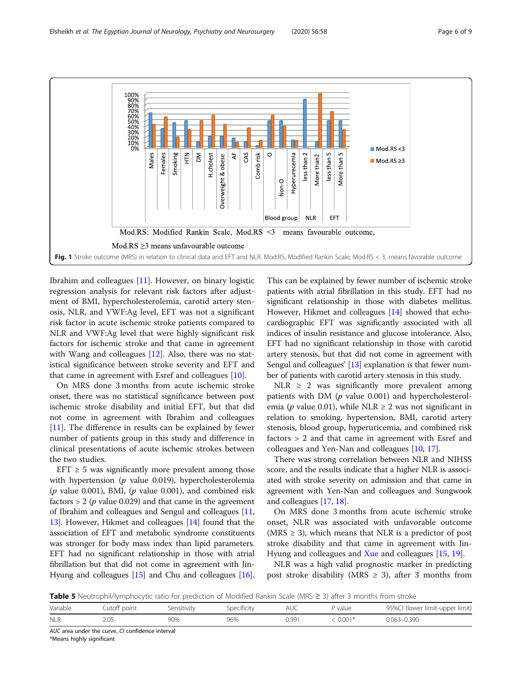<span id="page-5-0"></span>

Ibrahim and colleagues [[11\]](#page-7-0). However, on binary logistic regression analysis for relevant risk factors after adjustment of BMI, hypercholesterolemia, carotid artery stenosis, NLR, and VWF:Ag level, EFT was not a significant risk factor in acute ischemic stroke patients compared to NLR and VWF:Ag level that were highly significant risk factors for ischemic stroke and that came in agreement with Wang and colleagues [[12\]](#page-7-0). Also, there was no statistical significance between stroke severity and EFT and that came in agreement with Esref and colleagues [\[10](#page-7-0)].

On MRS done 3 months from acute ischemic stroke onset, there was no statistical significance between post ischemic stroke disability and initial EFT, but that did not come in agreement with Ibrahim and colleagues [[11\]](#page-7-0). The difference in results can be explained by fewer number of patients group in this study and difference in clinical presentations of acute ischemic strokes between the two studies.

EFT  $\geq$  5 was significantly more prevalent among those with hypertension ( $p$  value 0.019), hypercholesterolemia ( $p$  value 0.001), BMI, ( $p$  value 0.001), and combined risk factors  $> 2$  ( $p$  value 0.029) and that came in the agreement of Ibrahim and colleagues and Sengul and colleagues [[11](#page-7-0), [13](#page-8-0)]. However, Hikmet and colleagues [[14](#page-8-0)] found that the association of EFT and metabolic syndrome constituents was stronger for body mass index than lipid parameters. EFT had no significant relationship in those with atrial fibrillation but that did not come in agreement with Jin-Hyung and colleagues [[15](#page-8-0)] and Chu and colleagues [[16](#page-8-0)].

This can be explained by fewer number of ischemic stroke patients with atrial fibrillation in this study. EFT had no significant relationship in those with diabetes mellitus. However, Hikmet and colleagues [\[14](#page-8-0)] showed that echocardiographic EFT was significantly associated with all indices of insulin resistance and glucose intolerance. Also, EFT had no significant relationship in those with carotid artery stenosis, but that did not come in agreement with Sengul and colleagues' [\[13\]](#page-8-0) explanation is that fewer number of patients with carotid artery stenosis in this study.

NLR  $\geq$  2 was significantly more prevalent among patients with DM  $(p$  value 0.001) and hypercholesterolemia (*p* value 0.01), while NLR  $\geq$  2 was not significant in relation to smoking, hypertension, BMI, carotid artery stenosis, blood group, hyperuricemia, and combined risk factors > 2 and that came in agreement with Esref and colleagues and Yen-Nan and colleagues [[10,](#page-7-0) [17](#page-8-0)].

There was strong correlation between NLR and NIHSS score, and the results indicate that a higher NLR is associated with stroke severity on admission and that came in agreement with Yen-Nan and colleagues and Sungwook and colleagues [[17](#page-8-0), [18\]](#page-8-0).

On MRS done 3 months from acute ischemic stroke onset, NLR was associated with unfavorable outcome (MRS  $\geq$  3), which means that NLR is a predictor of post stroke disability and that came in agreement with Jin-Hyung and colleagues and [Xue](https://www.ncbi.nlm.nih.gov/pubmed/?term=Xue%20J%5BAuthor%5D&cauthor=true&cauthor_uid=27955949) and colleagues [[15,](#page-8-0) [19](#page-8-0)].

NLR was a high valid prognostic marker in predicting post stroke disability (MRS  $\geq$  3), after 3 months from

Table 5 Neutrophil/lymphocytic ratio for prediction of Modified Rankin Scale (MRS ≥ 3) after 3 months from stroke

| Variable   | Cutoff point | Sensitivity | Specificity | AUC   | ' value  | 95%CI (lower limit-upper limit) |
|------------|--------------|-------------|-------------|-------|----------|---------------------------------|
| <b>NLR</b> | 2.05         | 90%         | 96%         | ).991 | $0.001*$ | $0.063 - 0.390$                 |

AUC area under the curve, CI confidence interval

\*Means highly significant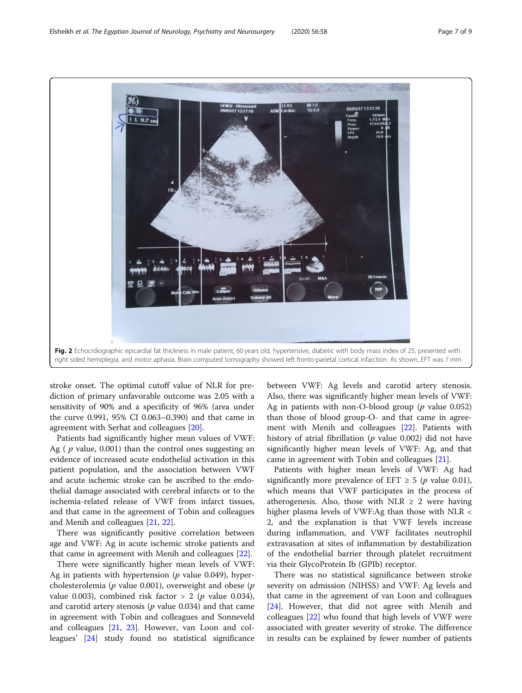<span id="page-6-0"></span>

stroke onset. The optimal cutoff value of NLR for prediction of primary unfavorable outcome was 2.05 with a sensitivity of 90% and a specificity of 96% (area under the curve 0.991, 95% CI 0.063–0.390) and that came in agreement with Serhat and colleagues [[20\]](#page-8-0).

Patients had significantly higher mean values of VWF: Ag ( $p$  value, 0.001) than the control ones suggesting an evidence of increased acute endothelial activation in this patient population, and the association between VWF and acute ischemic stroke can be ascribed to the endothelial damage associated with cerebral infarcts or to the ischemia-related release of VWF from infarct tissues, and that came in the agreement of Tobin and colleagues and Menih and colleagues [\[21,](#page-8-0) [22\]](#page-8-0).

There was significantly positive correlation between age and VWF: Ag in acute ischemic stroke patients and that came in agreement with Menih and colleagues [[22\]](#page-8-0).

There were significantly higher mean levels of VWF: Ag in patients with hypertension ( $p$  value 0.049), hypercholesterolemia ( $p$  value 0.001), overweight and obese ( $p$ value 0.003), combined risk factor > 2 ( $p$  value 0.034), and carotid artery stenosis ( $p$  value 0.034) and that came in agreement with Tobin and colleagues and Sonneveld and colleagues [\[21,](#page-8-0) [23](#page-8-0)]. However, van Loon and colleagues' [[24\]](#page-8-0) study found no statistical significance between VWF: Ag levels and carotid artery stenosis. Also, there was significantly higher mean levels of VWF: Ag in patients with non-O-blood group ( $p$  value 0.052) than those of blood group-O- and that came in agreement with Menih and colleagues [[22\]](#page-8-0). Patients with history of atrial fibrillation ( $p$  value 0.002) did not have significantly higher mean levels of VWF: Ag, and that came in agreement with Tobin and colleagues [[21\]](#page-8-0).

Patients with higher mean levels of VWF: Ag had significantly more prevalence of EFT  $\geq 5$  (p value 0.01), which means that VWF participates in the process of atherogenesis. Also, those with NLR  $\geq$  2 were having higher plasma levels of VWF:Ag than those with NLR < 2, and the explanation is that VWF levels increase during inflammation, and VWF facilitates neutrophil extravasation at sites of inflammation by destabilization of the endothelial barrier through platelet recruitment via their GlycoProtein Ib (GPIb) receptor.

There was no statistical significance between stroke severity on admission (NIHSS) and VWF: Ag levels and that came in the agreement of van Loon and colleagues [[24\]](#page-8-0). However, that did not agree with Menih and colleagues [[22\]](#page-8-0) who found that high levels of VWF were associated with greater severity of stroke. The difference in results can be explained by fewer number of patients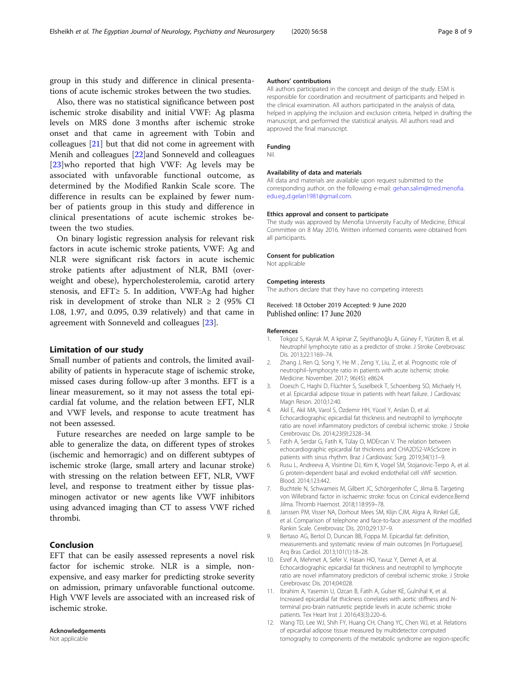<span id="page-7-0"></span>group in this study and difference in clinical presentations of acute ischemic strokes between the two studies.

Also, there was no statistical significance between post ischemic stroke disability and initial VWF: Ag plasma levels on MRS done 3 months after ischemic stroke onset and that came in agreement with Tobin and colleagues [[21\]](#page-8-0) but that did not come in agreement with Menih and colleagues [[22](#page-8-0)]and Sonneveld and colleagues [[23\]](#page-8-0)who reported that high VWF: Ag levels may be associated with unfavorable functional outcome, as determined by the Modified Rankin Scale score. The difference in results can be explained by fewer number of patients group in this study and difference in clinical presentations of acute ischemic strokes between the two studies.

On binary logistic regression analysis for relevant risk factors in acute ischemic stroke patients, VWF: Ag and NLR were significant risk factors in acute ischemic stroke patients after adjustment of NLR, BMI (overweight and obese), hypercholesterolemia, carotid artery stenosis, and EFT≥ 5. In addition, VWF:Ag had higher risk in development of stroke than NLR  $\geq$  2 (95% CI 1.08, 1.97, and 0.095, 0.39 relatively) and that came in agreement with Sonneveld and colleagues [[23\]](#page-8-0).

#### Limitation of our study

Small number of patients and controls, the limited availability of patients in hyperacute stage of ischemic stroke, missed cases during follow-up after 3 months. EFT is a linear measurement, so it may not assess the total epicardial fat volume, and the relation between EFT, NLR and VWF levels, and response to acute treatment has not been assessed.

Future researches are needed on large sample to be able to generalize the data, on different types of strokes (ischemic and hemorragic) and on different subtypes of ischemic stroke (large, small artery and lacunar stroke) with stressing on the relation between EFT, NLR, VWF level, and response to treatment either by tissue plasminogen activator or new agents like VWF inhibitors using advanced imaging than CT to assess VWF riched thrombi.

#### Conclusion

EFT that can be easily assessed represents a novel risk factor for ischemic stroke. NLR is a simple, nonexpensive, and easy marker for predicting stroke severity on admission, primary unfavorable functional outcome. High VWF levels are associated with an increased risk of ischemic stroke.

## Acknowledgements

Not applicable

#### Authors' contributions

All authors participated in the concept and design of the study. ESM is responsible for coordination and recruitment of participants and helped in the clinical examination. All authors participated in the analysis of data, helped in applying the inclusion and exclusion criteria, helped in drafting the manuscript, and performed the statistical analysis. All authors read and approved the final manuscript.

#### Funding Nil.

#### Availability of data and materials

All data and materials are available upon request submitted to the corresponding author, on the following e-mail: [gehan.salim@med.menofia.](mailto:gehan.salim@med.menofia.edu.eg) [edu.eg](mailto:gehan.salim@med.menofia.edu.eg).,[d.gelan1981@gmail.com.](mailto:d.gelan1981@gmail.com)

#### Ethics approval and consent to participate

The study was approved by Menofia University Faculty of Medicine, Ethical Committee on 8 May 2016. Written informed consents were obtained from all participants.

#### Consent for publication

Not applicable

#### Competing interests

The authors declare that they have no competing interests

Received: 18 October 2019 Accepted: 9 June 2020 Published online: 17 June 2020

#### References

- 1. Tokgoz S, Kayrak M, A kpinar Z, Seyithanoğlu A, Güney F, Yürüten B, et al. Neutrophil lymphocyte ratio as a predictor of stroke. J Stroke Cerebrovasc Dis. 2013;22:1169–74.
- 2. Zhang J, Ren Q, Song Y, He M , Zeng Y, Liu, Z, et al. Prognostic role of neutrophil–lymphocyte ratio in patients with acute ischemic stroke. Medicine: November. 2017; 96(45): e8624.
- 3. Doesch C, Haghi D, Flüchter S, Suselbeck T, Schoenberg SO, Michaely H, et al. Epicardial adipose tissue in patients with heart failure. J Cardiovasc Magn Reson. 2010;12:40.
- 4. Akil E, Akil MA, Varol S, Özdemir HH, Yücel Y, Arslan D, et al. Echocardiographic epicardial fat thickness and neutrophil to lymphocyte ratio are novel inflammatory predictors of cerebral ischemic stroke. J Stroke Cerebrovasc Dis. 2014;23(9):2328–34.
- 5. Fatih A, Serdar G, Fatih K, Tülay O, MDErcan V. The relation between echocardiographic epicardial fat thickness and CHA2DS2-VAScScore in patients with sinus rhythm. Braz J Cardiovasc Surg. 2019;34(1):1–9.
- 6. Rusu L, Andreeva A, Visintine DJ, Kim K, Vogel SM, Stojanovic-Terpo A, et al. G protein-dependent basal and evoked endothelial cell vWF secretion. Blood. 2014;123:442.
- 7. Buchtele N, Schwameis M, Gilbert JC, Schörgenhofer C, Jilma B. Targeting von Willebrand factor in ischaemic stroke: focus on Ccinical evidence.Bernd Jilma. Thromb Haemost. 2018;118:959–78.
- 8. Janssen PM, Visser NA, Dorhout Mees SM, Klijn CJM, Algra A, Rinkel GJE, et al. Comparison of telephone and face-to-face assessment of the modified Rankin Scale. Cerebrovasc Dis. 2010;29:137–9.
- 9. Bertaso AG, Bertol D, Duncan BB, Foppa M. Epicardial fat: definition, measurements and systematic review of main outcomes [in Portuguese]. Arq Bras Cardiol. 2013;101(1):18–28.
- 10. Esref A, Mehmet A, Sefer V, Hasan HO, Yavuz Y, Demet A, et al. Echocardiographic epicardial fat thickness and neutrophil to lymphocyte ratio are novel inflammatory predictors of cerebral ischemic stroke. J Stroke Cerebrovasc Dis. 2014;04:028.
- 11. Ibrahim A, Yasemin U, Ozcan B, Fatih A, Gulser KE, Gulnihal K, et al. Increased epicardial fat thickness correlates with aortic stiffness and Nterminal pro-brain natriuretic peptide levels in acute ischemic stroke patients. Tex Heart Inst J. 2016;43(3):220–6.
- 12. Wang TD, Lee WJ, Shih FY, Huang CH, Chang YC, Chen WJ, et al. Relations of epicardial adipose tissue measured by multidetector computed tomography to components of the metabolic syndrome are region-specific